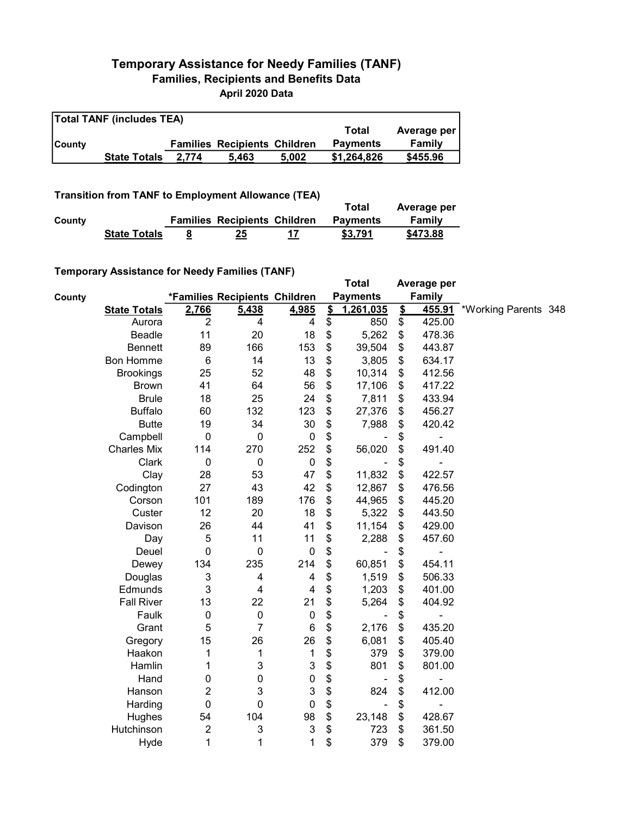## Temporary Assistance for Needy Families (TANF) Families, Recipients and Benefits Data April 2020 Data

| <b>Total TANF (includes TEA)</b> |                     |       |                                     |       |                 |             |  |  |  |
|----------------------------------|---------------------|-------|-------------------------------------|-------|-----------------|-------------|--|--|--|
|                                  |                     |       |                                     |       | Total           | Average per |  |  |  |
| <b>County</b>                    |                     |       | <b>Families Recipients Children</b> |       | <b>Payments</b> | Family      |  |  |  |
|                                  | <b>State Totals</b> | 2.774 | 5.463                               | 5.002 | \$1.264.826     | \$455.96    |  |  |  |

## Transition from TANF to Employment Allowance (TEA)

|        | <b>Transition from TANF to Employment Allowance (TEA)</b> | Total                               | Average per |                 |          |
|--------|-----------------------------------------------------------|-------------------------------------|-------------|-----------------|----------|
| County |                                                           | <b>Families Recipients Children</b> |             | <b>Payments</b> | Family   |
|        | <b>State Totals</b>                                       | 25                                  | 17          | \$3.791         | \$473.88 |

## Temporary Assistance for Needy Families (TANF)

|        | $\frac{1}{2}$ componently resolved to the recent and $\frac{1}{2}$ |                  |                               |                           |                         | <b>Total</b>    |                         | Average per   |                      |  |
|--------|--------------------------------------------------------------------|------------------|-------------------------------|---------------------------|-------------------------|-----------------|-------------------------|---------------|----------------------|--|
| County |                                                                    |                  | *Families Recipients Children |                           |                         | <b>Payments</b> |                         | <b>Family</b> |                      |  |
|        | <b>State Totals</b>                                                | 2,766            | 5,438                         | 4,985                     | $\overline{\mathbf{2}}$ | 1,261,035       | $\overline{\mathbf{2}}$ | 455.91        | *Working Parents 348 |  |
|        | Aurora                                                             | $\overline{2}$   | 4                             | $\overline{\mathbf{4}}$   | \$                      | 850             | \$                      | 425.00        |                      |  |
|        | <b>Beadle</b>                                                      | 11               | 20                            | 18                        | \$                      | 5,262           | \$                      | 478.36        |                      |  |
|        | <b>Bennett</b>                                                     | 89               | 166                           | 153                       | \$                      | 39,504          | \$                      | 443.87        |                      |  |
|        | <b>Bon Homme</b>                                                   | $6\phantom{1}6$  | 14                            | 13                        | \$                      | 3,805           | \$                      | 634.17        |                      |  |
|        | <b>Brookings</b>                                                   | 25               | 52                            | 48                        | \$                      | 10,314          | \$                      | 412.56        |                      |  |
|        | <b>Brown</b>                                                       | 41               | 64                            | 56                        | \$                      | 17,106          | \$                      | 417.22        |                      |  |
|        | <b>Brule</b>                                                       | 18               | 25                            | 24                        | \$                      | 7,811           | \$                      | 433.94        |                      |  |
|        | <b>Buffalo</b>                                                     | 60               | 132                           | 123                       | \$                      | 27,376          | \$                      | 456.27        |                      |  |
|        | <b>Butte</b>                                                       | 19               | 34                            | 30                        | \$                      | 7,988           | \$                      | 420.42        |                      |  |
|        | Campbell                                                           | $\mathbf 0$      | 0                             | $\pmb{0}$                 | \$                      |                 | \$                      | -             |                      |  |
|        | <b>Charles Mix</b>                                                 | 114              | 270                           | 252                       | \$                      | 56,020          | \$                      | 491.40        |                      |  |
|        | Clark                                                              | $\boldsymbol{0}$ | $\mathbf 0$                   | $\pmb{0}$                 | \$                      |                 | \$                      |               |                      |  |
|        | Clay                                                               | 28               | 53                            | 47                        | \$                      | 11,832          | \$                      | 422.57        |                      |  |
|        | Codington                                                          | 27               | 43                            | 42                        | \$                      | 12,867          | \$                      | 476.56        |                      |  |
|        | Corson                                                             | 101              | 189                           | 176                       | \$                      | 44,965          | \$                      | 445.20        |                      |  |
|        | Custer                                                             | 12               | 20                            | 18                        | \$                      | 5,322           | \$                      | 443.50        |                      |  |
|        | Davison                                                            | 26               | 44                            | 41                        | \$                      | 11,154          | \$                      | 429.00        |                      |  |
|        | Day                                                                | 5                | 11                            | 11                        | \$                      | 2,288           | \$                      | 457.60        |                      |  |
|        | Deuel                                                              | $\mathbf 0$      | $\mathbf 0$                   | $\pmb{0}$                 | \$                      |                 | \$                      |               |                      |  |
|        | Dewey                                                              | 134              | 235                           | 214                       | \$                      | 60,851          | \$                      | 454.11        |                      |  |
|        | Douglas                                                            | 3                | 4                             | $\overline{\mathbf{4}}$   | \$                      | 1,519           | \$                      | 506.33        |                      |  |
|        | Edmunds                                                            | 3                | $\overline{4}$                | $\overline{4}$            | \$                      | 1,203           | \$                      | 401.00        |                      |  |
|        | <b>Fall River</b>                                                  | 13               | 22                            | 21                        | \$                      | 5,264           | \$                      | 404.92        |                      |  |
|        | Faulk                                                              | $\boldsymbol{0}$ | $\pmb{0}$                     | $\pmb{0}$                 | \$                      |                 | \$                      |               |                      |  |
|        | Grant                                                              | 5                | $\overline{7}$                | 6                         | \$                      | 2,176           | \$                      | 435.20        |                      |  |
|        | Gregory                                                            | 15               | 26                            | 26                        | \$                      | 6,081           | \$                      | 405.40        |                      |  |
|        | Haakon                                                             | 1                | 1                             | $\mathbf 1$               | \$                      | 379             | \$                      | 379.00        |                      |  |
|        | Hamlin                                                             | 1                | 3                             | $\ensuremath{\mathsf{3}}$ | \$                      | 801             | \$                      | 801.00        |                      |  |
|        | Hand                                                               | 0                | 0                             | $\pmb{0}$                 | \$                      |                 | \$                      |               |                      |  |
|        | Hanson                                                             | $\boldsymbol{2}$ | 3                             | $\mathbf{3}$              | \$                      | 824             | \$                      | 412.00        |                      |  |
|        | Harding                                                            | $\pmb{0}$        | $\mathbf 0$                   | $\boldsymbol{0}$          | \$                      |                 | \$                      |               |                      |  |
|        | Hughes                                                             | 54               | 104                           | 98                        | \$                      | 23,148          | \$                      | 428.67        |                      |  |
|        | Hutchinson                                                         | $\boldsymbol{2}$ | 3                             | $\ensuremath{\mathsf{3}}$ | \$                      | 723             | \$                      | 361.50        |                      |  |
|        | Hyde                                                               | 1                | 1                             | 1                         | \$                      | 379             | \$                      | 379.00        |                      |  |